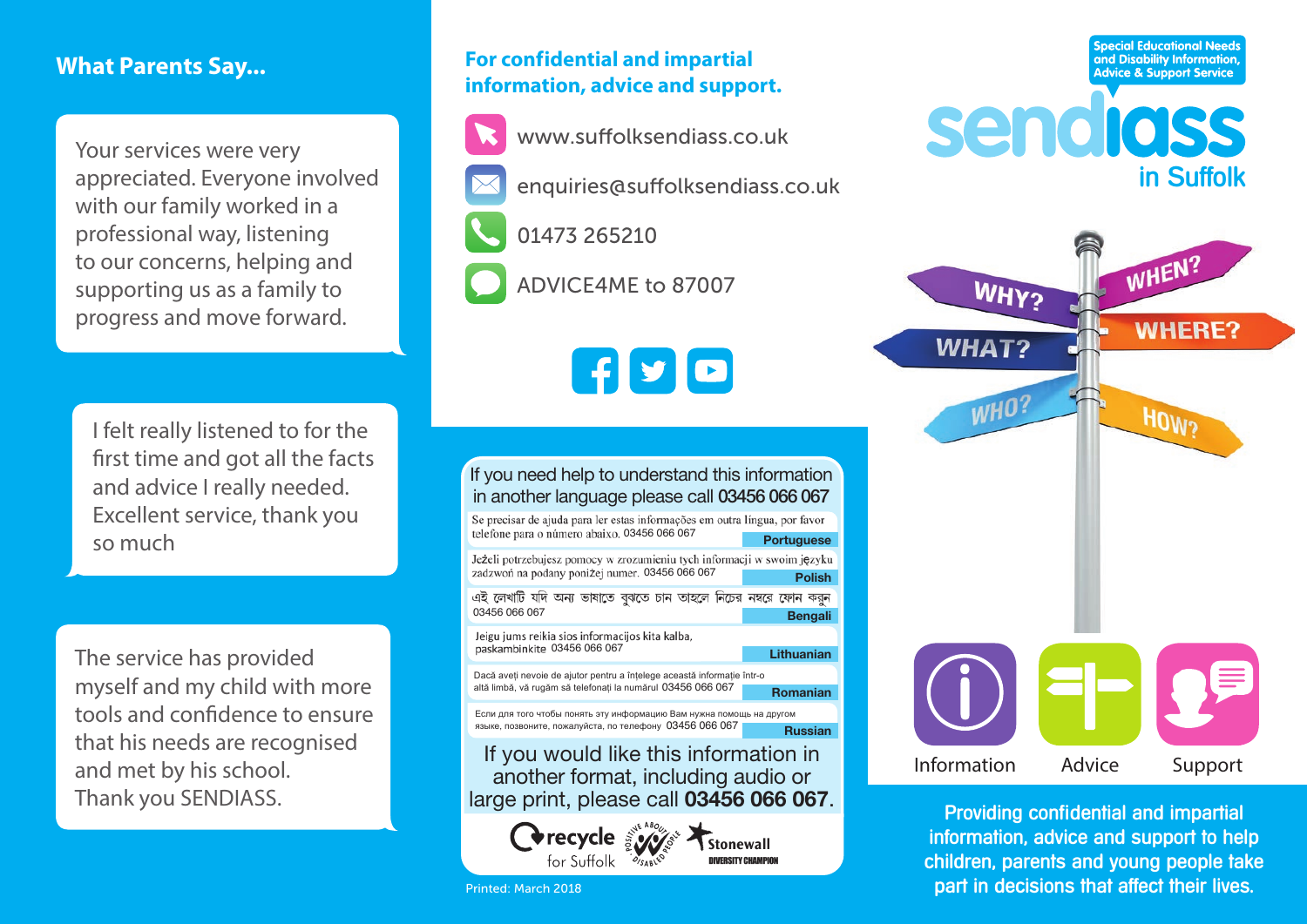# **What Parents Say...**

Your services were very appreciated. Everyone involved with our family worked in a professional way, listening to our concerns, helping and supporting us as a family to progress and move forward.

I felt really listened to for the first time and got all the facts and advice I really needed. Excellent service, thank you so much

The service has provided myself and my child with more tools and confidence to ensure that his needs are recognised and met by his school. Thank you SENDIASS.

# **For confidential and impartial information, advice and support.**



- enquiries@suffolksendiass.co.uk
- 
- 01473 265210
- ADVICE4ME to 87007

 $\mathbf{F}$   $\mathbf{F}$ 

## If you need help to understand this information in another language please call 03456 066 067

Se precisar de ajuda para ler estas informações em outra língua, por favor telefone para o número abaixo. 03456 066 067 Jeżeli potrzebujesz pomocy w zrozumieniu tych informacji w swoim języku

zadzwoń na podany poniżej numer. 03456 066 067 **Polish** এই লেখাটি যদি অন্য ভাষাতে বঝতে চান তাহলে নিচের নম্বরে ফোন করন 03456 066 067 **Bengali**

Jeigu jums reikia sios informacijos kita kalba, paskambinkite 03456 066 067

Dacă aveţi nevoie de ajutor pentru a înţelege această informaţie într-o altă limbă, vă rugăm să telefonați la numărul 03456 066 067 **Romanian** 

Если для того чтобы понять эту информацию Вам нужна помощь на другом языке, позвоните, пожалуйста, по телефону 03456 066 067 **Russian** 

If you would like this information in another format, including audio or large print, please call **03456 066 067**.



Stonewall **DIVERSITY CHAMPIO** 

**Lithuanian**

**Advice & Support Service** sendiass in Suffolk

**WHY?** 

**WHAT?** 

**WHO** 

**Special Educational Needs** and Disability Information,

WHEN?

**WHERE?** 

HOW?



Providing confidential and impartial information, advice and support to help children, parents and young people take part in decisions that affect their lives.

Printed: March 2018